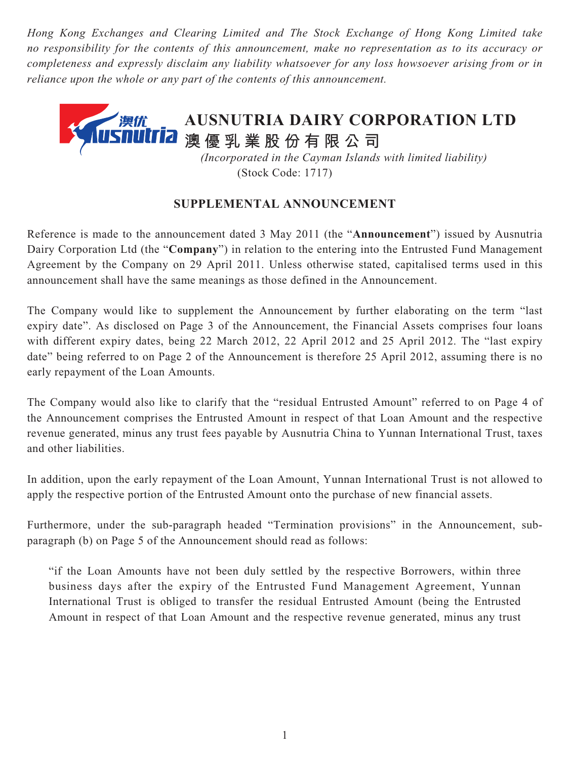*Hong Kong Exchanges and Clearing Limited and The Stock Exchange of Hong Kong Limited take no responsibility for the contents of this announcement, make no representation as to its accuracy or completeness and expressly disclaim any liability whatsoever for any loss howsoever arising from or in reliance upon the whole or any part of the contents of this announcement.*



(Stock Code: 1717)

## **SUPPLEMENTAL ANNOUNCEMENT**

Reference is made to the announcement dated 3 May 2011 (the "**Announcement**") issued by Ausnutria Dairy Corporation Ltd (the "**Company**") in relation to the entering into the Entrusted Fund Management Agreement by the Company on 29 April 2011. Unless otherwise stated, capitalised terms used in this announcement shall have the same meanings as those defined in the Announcement.

The Company would like to supplement the Announcement by further elaborating on the term "last expiry date". As disclosed on Page 3 of the Announcement, the Financial Assets comprises four loans with different expiry dates, being 22 March 2012, 22 April 2012 and 25 April 2012. The "last expiry date" being referred to on Page 2 of the Announcement is therefore 25 April 2012, assuming there is no early repayment of the Loan Amounts.

The Company would also like to clarify that the "residual Entrusted Amount" referred to on Page 4 of the Announcement comprises the Entrusted Amount in respect of that Loan Amount and the respective revenue generated, minus any trust fees payable by Ausnutria China to Yunnan International Trust, taxes and other liabilities.

In addition, upon the early repayment of the Loan Amount, Yunnan International Trust is not allowed to apply the respective portion of the Entrusted Amount onto the purchase of new financial assets.

Furthermore, under the sub-paragraph headed "Termination provisions" in the Announcement, subparagraph (b) on Page 5 of the Announcement should read as follows:

"if the Loan Amounts have not been duly settled by the respective Borrowers, within three business days after the expiry of the Entrusted Fund Management Agreement, Yunnan International Trust is obliged to transfer the residual Entrusted Amount (being the Entrusted Amount in respect of that Loan Amount and the respective revenue generated, minus any trust